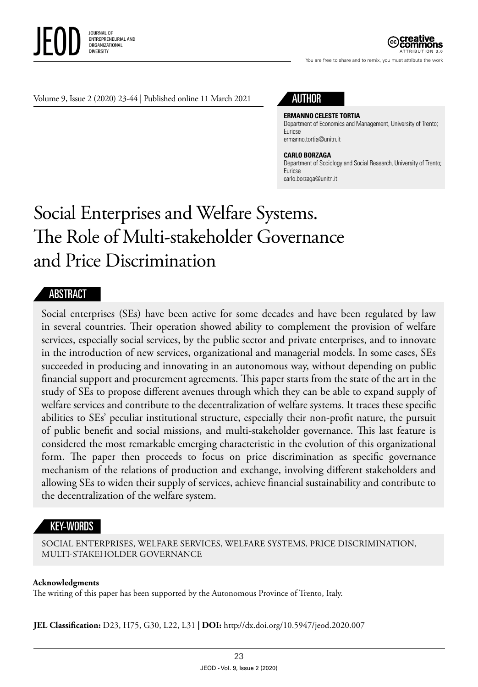

You are free to share and to remix, you must attribute the work

Volume 9, Issue 2 (2020) 23-44 | Published online 11 March 2021

# AUTHOR

**ERMANNO CELESTE TORTIA** Department of Economics and Management, University of Trento; Euricse ermanno.tortia@unitn.it

#### **CARLO BORZAGA**

Department of Sociology and Social Research, University of Trento; Euricse carlo.borzaga@unitn.it

# Social Enterprises and Welfare Systems. The Role of Multi-stakeholder Governance and Price Discrimination

#### ABSTRACT

Social enterprises (SEs) have been active for some decades and have been regulated by law in several countries. Their operation showed ability to complement the provision of welfare services, especially social services, by the public sector and private enterprises, and to innovate in the introduction of new services, organizational and managerial models. In some cases, SEs succeeded in producing and innovating in an autonomous way, without depending on public financial support and procurement agreements. This paper starts from the state of the art in the study of SEs to propose different avenues through which they can be able to expand supply of welfare services and contribute to the decentralization of welfare systems. It traces these specific abilities to SEs' peculiar institutional structure, especially their non-profit nature, the pursuit of public benefit and social missions, and multi-stakeholder governance. This last feature is considered the most remarkable emerging characteristic in the evolution of this organizational form. The paper then proceeds to focus on price discrimination as specific governance mechanism of the relations of production and exchange, involving different stakeholders and allowing SEs to widen their supply of services, achieve financial sustainability and contribute to the decentralization of the welfare system.

#### KEY-WORDS

SOCIAL ENTERPRISES, WELFARE SERVICES, WELFARE SYSTEMS, PRICE DISCRIMINATION, MULTI-STAKEHOLDER GOVERNANCE

#### **Acknowledgments**

The writing of this paper has been supported by the Autonomous Province of Trento, Italy.

**JEL Classification:** D23, H75, G30, L22, L31 **| DOI:** http//dx.doi.org/10.5947/jeod.2020.007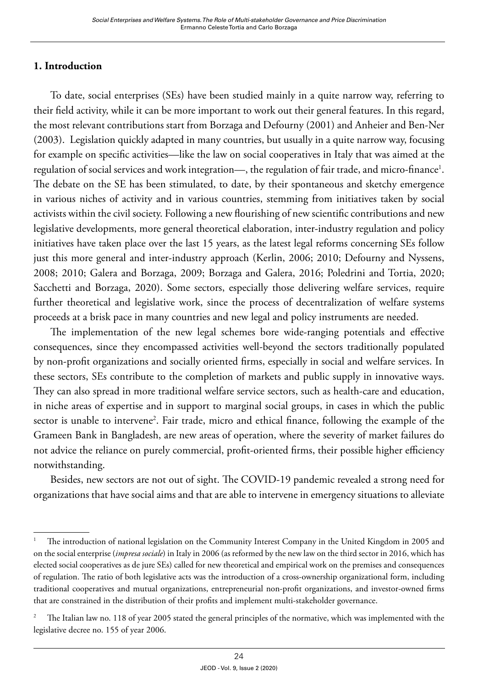#### **1. Introduction**

To date, social enterprises (SEs) have been studied mainly in a quite narrow way, referring to their field activity, while it can be more important to work out their general features. In this regard, the most relevant contributions start from Borzaga and Defourny (2001) and Anheier and Ben-Ner (2003). Legislation quickly adapted in many countries, but usually in a quite narrow way, focusing for example on specific activities—like the law on social cooperatives in Italy that was aimed at the regulation of social services and work integration—, the regulation of fair trade, and micro-finance<sup>1</sup>. The debate on the SE has been stimulated, to date, by their spontaneous and sketchy emergence in various niches of activity and in various countries, stemming from initiatives taken by social activists within the civil society. Following a new flourishing of new scientific contributions and new legislative developments, more general theoretical elaboration, inter-industry regulation and policy initiatives have taken place over the last 15 years, as the latest legal reforms concerning SEs follow just this more general and inter-industry approach (Kerlin, 2006; 2010; Defourny and Nyssens, 2008; 2010; Galera and Borzaga, 2009; Borzaga and Galera, 2016; Poledrini and Tortia, 2020; Sacchetti and Borzaga, 2020). Some sectors, especially those delivering welfare services, require further theoretical and legislative work, since the process of decentralization of welfare systems proceeds at a brisk pace in many countries and new legal and policy instruments are needed.

The implementation of the new legal schemes bore wide-ranging potentials and effective consequences, since they encompassed activities well-beyond the sectors traditionally populated by non-profit organizations and socially oriented firms, especially in social and welfare services. In these sectors, SEs contribute to the completion of markets and public supply in innovative ways. They can also spread in more traditional welfare service sectors, such as health-care and education, in niche areas of expertise and in support to marginal social groups, in cases in which the public sector is unable to intervene<sup>2</sup>. Fair trade, micro and ethical finance, following the example of the Grameen Bank in Bangladesh, are new areas of operation, where the severity of market failures do not advice the reliance on purely commercial, profit-oriented firms, their possible higher efficiency notwithstanding.

Besides, new sectors are not out of sight. The COVID-19 pandemic revealed a strong need for organizations that have social aims and that are able to intervene in emergency situations to alleviate

<sup>1</sup> The introduction of national legislation on the Community Interest Company in the United Kingdom in 2005 and on the social enterprise (*impresa sociale*) in Italy in 2006 (as reformed by the new law on the third sector in 2016, which has elected social cooperatives as de jure SEs) called for new theoretical and empirical work on the premises and consequences of regulation. The ratio of both legislative acts was the introduction of a cross-ownership organizational form, including traditional cooperatives and mutual organizations, entrepreneurial non-profit organizations, and investor-owned firms that are constrained in the distribution of their profits and implement multi-stakeholder governance.

<sup>&</sup>lt;sup>2</sup> The Italian law no. 118 of year 2005 stated the general principles of the normative, which was implemented with the legislative decree no. 155 of year 2006.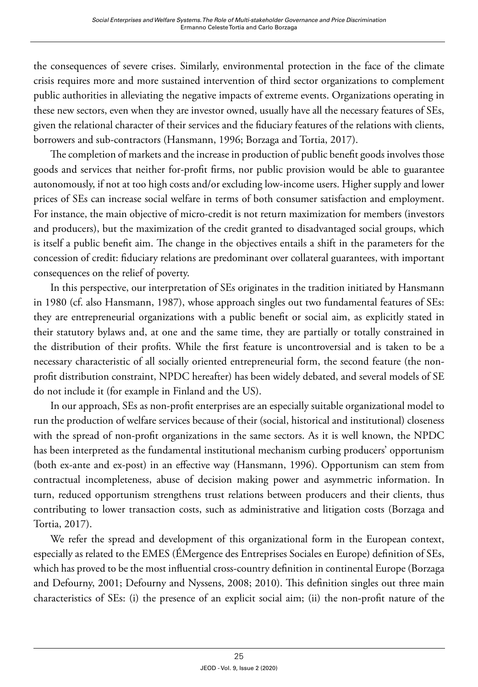the consequences of severe crises. Similarly, environmental protection in the face of the climate crisis requires more and more sustained intervention of third sector organizations to complement public authorities in alleviating the negative impacts of extreme events. Organizations operating in these new sectors, even when they are investor owned, usually have all the necessary features of SEs, given the relational character of their services and the fiduciary features of the relations with clients, borrowers and sub-contractors (Hansmann, 1996; Borzaga and Tortia, 2017).

The completion of markets and the increase in production of public benefit goods involves those goods and services that neither for-profit firms, nor public provision would be able to guarantee autonomously, if not at too high costs and/or excluding low-income users. Higher supply and lower prices of SEs can increase social welfare in terms of both consumer satisfaction and employment. For instance, the main objective of micro-credit is not return maximization for members (investors and producers), but the maximization of the credit granted to disadvantaged social groups, which is itself a public benefit aim. The change in the objectives entails a shift in the parameters for the concession of credit: fiduciary relations are predominant over collateral guarantees, with important consequences on the relief of poverty.

In this perspective, our interpretation of SEs originates in the tradition initiated by Hansmann in 1980 (cf. also Hansmann, 1987), whose approach singles out two fundamental features of SEs: they are entrepreneurial organizations with a public benefit or social aim, as explicitly stated in their statutory bylaws and, at one and the same time, they are partially or totally constrained in the distribution of their profits. While the first feature is uncontroversial and is taken to be a necessary characteristic of all socially oriented entrepreneurial form, the second feature (the nonprofit distribution constraint, NPDC hereafter) has been widely debated, and several models of SE do not include it (for example in Finland and the US).

In our approach, SEs as non-profit enterprises are an especially suitable organizational model to run the production of welfare services because of their (social, historical and institutional) closeness with the spread of non-profit organizations in the same sectors. As it is well known, the NPDC has been interpreted as the fundamental institutional mechanism curbing producers' opportunism (both ex-ante and ex-post) in an effective way (Hansmann, 1996). Opportunism can stem from contractual incompleteness, abuse of decision making power and asymmetric information. In turn, reduced opportunism strengthens trust relations between producers and their clients, thus contributing to lower transaction costs, such as administrative and litigation costs (Borzaga and Tortia, 2017).

We refer the spread and development of this organizational form in the European context, especially as related to the EMES (ÉMergence des Entreprises Sociales en Europe) definition of SEs, which has proved to be the most influential cross-country definition in continental Europe (Borzaga and Defourny, 2001; Defourny and Nyssens, 2008; 2010). This definition singles out three main characteristics of SEs: (i) the presence of an explicit social aim; (ii) the non-profit nature of the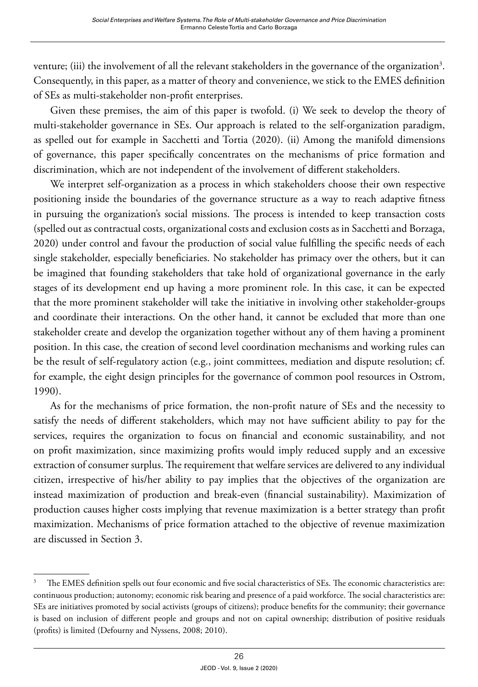venture; (iii) the involvement of all the relevant stakeholders in the governance of the organization<sup>3</sup>. Consequently, in this paper, as a matter of theory and convenience, we stick to the EMES definition of SEs as multi-stakeholder non-profit enterprises.

Given these premises, the aim of this paper is twofold. (i) We seek to develop the theory of multi-stakeholder governance in SEs. Our approach is related to the self-organization paradigm, as spelled out for example in Sacchetti and Tortia (2020). (ii) Among the manifold dimensions of governance, this paper specifically concentrates on the mechanisms of price formation and discrimination, which are not independent of the involvement of different stakeholders.

We interpret self-organization as a process in which stakeholders choose their own respective positioning inside the boundaries of the governance structure as a way to reach adaptive fitness in pursuing the organization's social missions. The process is intended to keep transaction costs (spelled out as contractual costs, organizational costs and exclusion costs as in Sacchetti and Borzaga, 2020) under control and favour the production of social value fulfilling the specific needs of each single stakeholder, especially beneficiaries. No stakeholder has primacy over the others, but it can be imagined that founding stakeholders that take hold of organizational governance in the early stages of its development end up having a more prominent role. In this case, it can be expected that the more prominent stakeholder will take the initiative in involving other stakeholder-groups and coordinate their interactions. On the other hand, it cannot be excluded that more than one stakeholder create and develop the organization together without any of them having a prominent position. In this case, the creation of second level coordination mechanisms and working rules can be the result of self-regulatory action (e.g., joint committees, mediation and dispute resolution; cf. for example, the eight design principles for the governance of common pool resources in Ostrom, 1990).

As for the mechanisms of price formation, the non-profit nature of SEs and the necessity to satisfy the needs of different stakeholders, which may not have sufficient ability to pay for the services, requires the organization to focus on financial and economic sustainability, and not on profit maximization, since maximizing profits would imply reduced supply and an excessive extraction of consumer surplus. The requirement that welfare services are delivered to any individual citizen, irrespective of his/her ability to pay implies that the objectives of the organization are instead maximization of production and break-even (financial sustainability). Maximization of production causes higher costs implying that revenue maximization is a better strategy than profit maximization. Mechanisms of price formation attached to the objective of revenue maximization are discussed in Section 3.

The EMES definition spells out four economic and five social characteristics of SEs. The economic characteristics are: continuous production; autonomy; economic risk bearing and presence of a paid workforce. The social characteristics are: SEs are initiatives promoted by social activists (groups of citizens); produce benefits for the community; their governance is based on inclusion of different people and groups and not on capital ownership; distribution of positive residuals (profits) is limited (Defourny and Nyssens, 2008; 2010).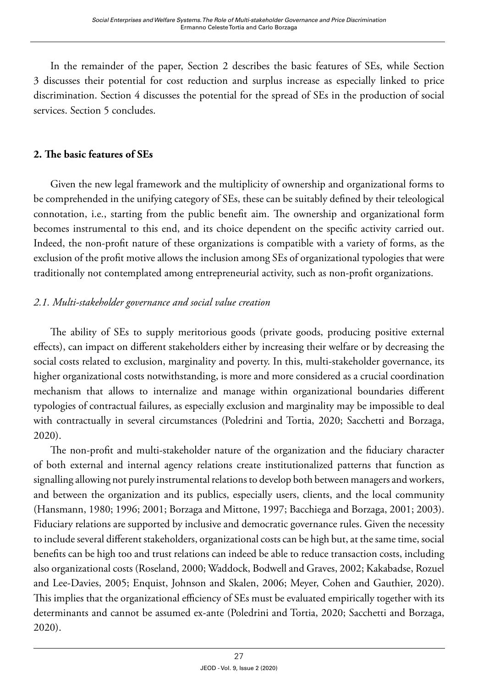In the remainder of the paper, Section 2 describes the basic features of SEs, while Section 3 discusses their potential for cost reduction and surplus increase as especially linked to price discrimination. Section 4 discusses the potential for the spread of SEs in the production of social services. Section 5 concludes.

#### **2. The basic features of SEs**

Given the new legal framework and the multiplicity of ownership and organizational forms to be comprehended in the unifying category of SEs, these can be suitably defined by their teleological connotation, i.e., starting from the public benefit aim. The ownership and organizational form becomes instrumental to this end, and its choice dependent on the specific activity carried out. Indeed, the non-profit nature of these organizations is compatible with a variety of forms, as the exclusion of the profit motive allows the inclusion among SEs of organizational typologies that were traditionally not contemplated among entrepreneurial activity, such as non-profit organizations.

# *2.1. Multi-stakeholder governance and social value creation*

The ability of SEs to supply meritorious goods (private goods, producing positive external effects), can impact on different stakeholders either by increasing their welfare or by decreasing the social costs related to exclusion, marginality and poverty. In this, multi-stakeholder governance, its higher organizational costs notwithstanding, is more and more considered as a crucial coordination mechanism that allows to internalize and manage within organizational boundaries different typologies of contractual failures, as especially exclusion and marginality may be impossible to deal with contractually in several circumstances (Poledrini and Tortia, 2020; Sacchetti and Borzaga, 2020).

The non-profit and multi-stakeholder nature of the organization and the fiduciary character of both external and internal agency relations create institutionalized patterns that function as signalling allowing not purely instrumental relations to develop both between managers and workers, and between the organization and its publics, especially users, clients, and the local community (Hansmann, 1980; 1996; 2001; Borzaga and Mittone, 1997; Bacchiega and Borzaga, 2001; 2003). Fiduciary relations are supported by inclusive and democratic governance rules. Given the necessity to include several different stakeholders, organizational costs can be high but, at the same time, social benefits can be high too and trust relations can indeed be able to reduce transaction costs, including also organizational costs (Roseland, 2000; Waddock, Bodwell and Graves, 2002; Kakabadse, Rozuel and Lee-Davies, 2005; Enquist, Johnson and Skalen, 2006; Meyer, Cohen and Gauthier, 2020). This implies that the organizational efficiency of SEs must be evaluated empirically together with its determinants and cannot be assumed ex-ante (Poledrini and Tortia, 2020; Sacchetti and Borzaga, 2020).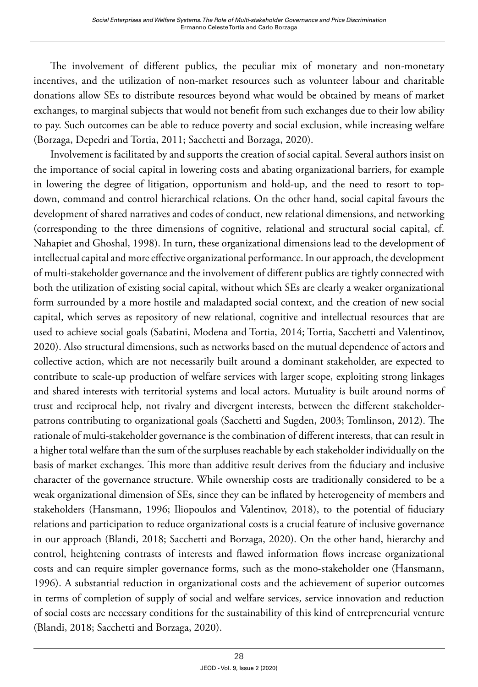The involvement of different publics, the peculiar mix of monetary and non-monetary incentives, and the utilization of non-market resources such as volunteer labour and charitable donations allow SEs to distribute resources beyond what would be obtained by means of market exchanges, to marginal subjects that would not benefit from such exchanges due to their low ability to pay. Such outcomes can be able to reduce poverty and social exclusion, while increasing welfare (Borzaga, Depedri and Tortia, 2011; Sacchetti and Borzaga, 2020).

Involvement is facilitated by and supports the creation of social capital. Several authors insist on the importance of social capital in lowering costs and abating organizational barriers, for example in lowering the degree of litigation, opportunism and hold-up, and the need to resort to topdown, command and control hierarchical relations. On the other hand, social capital favours the development of shared narratives and codes of conduct, new relational dimensions, and networking (corresponding to the three dimensions of cognitive, relational and structural social capital, cf. Nahapiet and Ghoshal, 1998). In turn, these organizational dimensions lead to the development of intellectual capital and more effective organizational performance. In our approach, the development of multi-stakeholder governance and the involvement of different publics are tightly connected with both the utilization of existing social capital, without which SEs are clearly a weaker organizational form surrounded by a more hostile and maladapted social context, and the creation of new social capital, which serves as repository of new relational, cognitive and intellectual resources that are used to achieve social goals (Sabatini, Modena and Tortia, 2014; Tortia, Sacchetti and Valentinov, 2020). Also structural dimensions, such as networks based on the mutual dependence of actors and collective action, which are not necessarily built around a dominant stakeholder, are expected to contribute to scale-up production of welfare services with larger scope, exploiting strong linkages and shared interests with territorial systems and local actors. Mutuality is built around norms of trust and reciprocal help, not rivalry and divergent interests, between the different stakeholderpatrons contributing to organizational goals (Sacchetti and Sugden, 2003; Tomlinson, 2012). The rationale of multi-stakeholder governance is the combination of different interests, that can result in a higher total welfare than the sum of the surpluses reachable by each stakeholder individually on the basis of market exchanges. This more than additive result derives from the fiduciary and inclusive character of the governance structure. While ownership costs are traditionally considered to be a weak organizational dimension of SEs, since they can be inflated by heterogeneity of members and stakeholders (Hansmann, 1996; Iliopoulos and Valentinov, 2018), to the potential of fiduciary relations and participation to reduce organizational costs is a crucial feature of inclusive governance in our approach (Blandi, 2018; Sacchetti and Borzaga, 2020). On the other hand, hierarchy and control, heightening contrasts of interests and flawed information flows increase organizational costs and can require simpler governance forms, such as the mono-stakeholder one (Hansmann, 1996). A substantial reduction in organizational costs and the achievement of superior outcomes in terms of completion of supply of social and welfare services, service innovation and reduction of social costs are necessary conditions for the sustainability of this kind of entrepreneurial venture (Blandi, 2018; Sacchetti and Borzaga, 2020).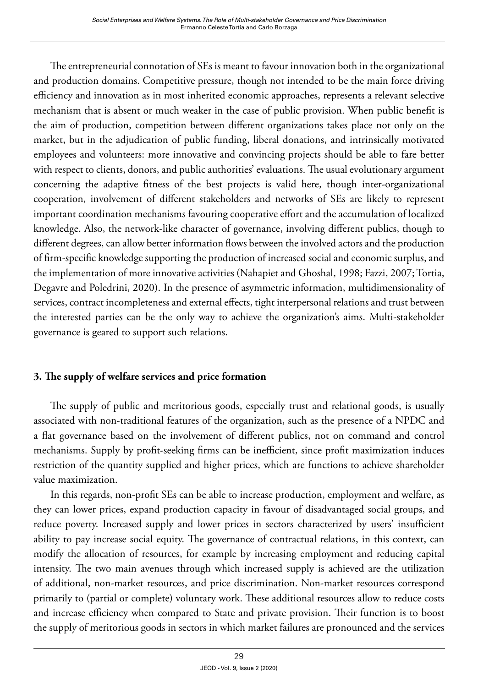The entrepreneurial connotation of SEs is meant to favour innovation both in the organizational and production domains. Competitive pressure, though not intended to be the main force driving efficiency and innovation as in most inherited economic approaches, represents a relevant selective mechanism that is absent or much weaker in the case of public provision. When public benefit is the aim of production, competition between different organizations takes place not only on the market, but in the adjudication of public funding, liberal donations, and intrinsically motivated employees and volunteers: more innovative and convincing projects should be able to fare better with respect to clients, donors, and public authorities' evaluations. The usual evolutionary argument concerning the adaptive fitness of the best projects is valid here, though inter-organizational cooperation, involvement of different stakeholders and networks of SEs are likely to represent important coordination mechanisms favouring cooperative effort and the accumulation of localized knowledge. Also, the network-like character of governance, involving different publics, though to different degrees, can allow better information flows between the involved actors and the production of firm-specific knowledge supporting the production of increased social and economic surplus, and the implementation of more innovative activities (Nahapiet and Ghoshal, 1998; Fazzi, 2007; Tortia, Degavre and Poledrini, 2020). In the presence of asymmetric information, multidimensionality of services, contract incompleteness and external effects, tight interpersonal relations and trust between the interested parties can be the only way to achieve the organization's aims. Multi-stakeholder governance is geared to support such relations.

# **3. The supply of welfare services and price formation**

The supply of public and meritorious goods, especially trust and relational goods, is usually associated with non-traditional features of the organization, such as the presence of a NPDC and a flat governance based on the involvement of different publics, not on command and control mechanisms. Supply by profit-seeking firms can be inefficient, since profit maximization induces restriction of the quantity supplied and higher prices, which are functions to achieve shareholder value maximization.

In this regards, non-profit SEs can be able to increase production, employment and welfare, as they can lower prices, expand production capacity in favour of disadvantaged social groups, and reduce poverty. Increased supply and lower prices in sectors characterized by users' insufficient ability to pay increase social equity. The governance of contractual relations, in this context, can modify the allocation of resources, for example by increasing employment and reducing capital intensity. The two main avenues through which increased supply is achieved are the utilization of additional, non-market resources, and price discrimination. Non-market resources correspond primarily to (partial or complete) voluntary work. These additional resources allow to reduce costs and increase efficiency when compared to State and private provision. Their function is to boost the supply of meritorious goods in sectors in which market failures are pronounced and the services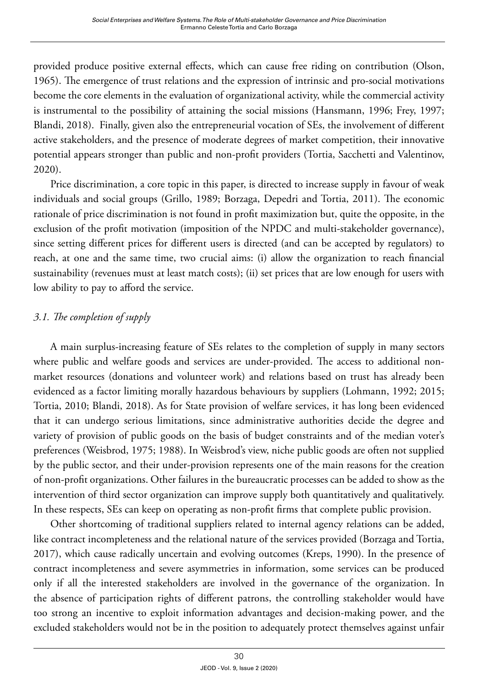provided produce positive external effects, which can cause free riding on contribution (Olson, 1965). The emergence of trust relations and the expression of intrinsic and pro-social motivations become the core elements in the evaluation of organizational activity, while the commercial activity is instrumental to the possibility of attaining the social missions (Hansmann, 1996; Frey, 1997; Blandi, 2018). Finally, given also the entrepreneurial vocation of SEs, the involvement of different active stakeholders, and the presence of moderate degrees of market competition, their innovative potential appears stronger than public and non-profit providers (Tortia, Sacchetti and Valentinov, 2020).

Price discrimination, a core topic in this paper, is directed to increase supply in favour of weak individuals and social groups (Grillo, 1989; Borzaga, Depedri and Tortia, 2011). The economic rationale of price discrimination is not found in profit maximization but, quite the opposite, in the exclusion of the profit motivation (imposition of the NPDC and multi-stakeholder governance), since setting different prices for different users is directed (and can be accepted by regulators) to reach, at one and the same time, two crucial aims: (i) allow the organization to reach financial sustainability (revenues must at least match costs); (ii) set prices that are low enough for users with low ability to pay to afford the service.

# *3.1. The completion of supply*

A main surplus-increasing feature of SEs relates to the completion of supply in many sectors where public and welfare goods and services are under-provided. The access to additional nonmarket resources (donations and volunteer work) and relations based on trust has already been evidenced as a factor limiting morally hazardous behaviours by suppliers (Lohmann, 1992; 2015; Tortia, 2010; Blandi, 2018). As for State provision of welfare services, it has long been evidenced that it can undergo serious limitations, since administrative authorities decide the degree and variety of provision of public goods on the basis of budget constraints and of the median voter's preferences (Weisbrod, 1975; 1988). In Weisbrod's view, niche public goods are often not supplied by the public sector, and their under-provision represents one of the main reasons for the creation of non-profit organizations. Other failures in the bureaucratic processes can be added to show as the intervention of third sector organization can improve supply both quantitatively and qualitatively. In these respects, SEs can keep on operating as non-profit firms that complete public provision.

Other shortcoming of traditional suppliers related to internal agency relations can be added, like contract incompleteness and the relational nature of the services provided (Borzaga and Tortia, 2017), which cause radically uncertain and evolving outcomes (Kreps, 1990). In the presence of contract incompleteness and severe asymmetries in information, some services can be produced only if all the interested stakeholders are involved in the governance of the organization. In the absence of participation rights of different patrons, the controlling stakeholder would have too strong an incentive to exploit information advantages and decision-making power, and the excluded stakeholders would not be in the position to adequately protect themselves against unfair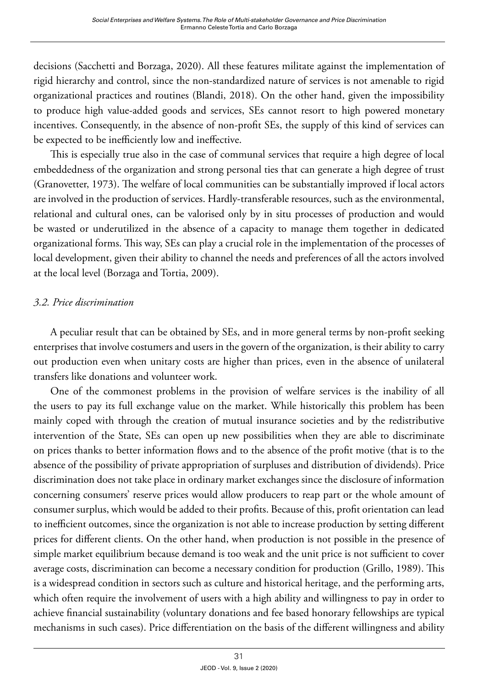decisions (Sacchetti and Borzaga, 2020). All these features militate against the implementation of rigid hierarchy and control, since the non-standardized nature of services is not amenable to rigid organizational practices and routines (Blandi, 2018). On the other hand, given the impossibility to produce high value-added goods and services, SEs cannot resort to high powered monetary incentives. Consequently, in the absence of non-profit SEs, the supply of this kind of services can be expected to be inefficiently low and ineffective.

This is especially true also in the case of communal services that require a high degree of local embeddedness of the organization and strong personal ties that can generate a high degree of trust (Granovetter, 1973). The welfare of local communities can be substantially improved if local actors are involved in the production of services. Hardly-transferable resources, such as the environmental, relational and cultural ones, can be valorised only by in situ processes of production and would be wasted or underutilized in the absence of a capacity to manage them together in dedicated organizational forms. This way, SEs can play a crucial role in the implementation of the processes of local development, given their ability to channel the needs and preferences of all the actors involved at the local level (Borzaga and Tortia, 2009).

#### *3.2. Price discrimination*

A peculiar result that can be obtained by SEs, and in more general terms by non-profit seeking enterprises that involve costumers and users in the govern of the organization, is their ability to carry out production even when unitary costs are higher than prices, even in the absence of unilateral transfers like donations and volunteer work.

One of the commonest problems in the provision of welfare services is the inability of all the users to pay its full exchange value on the market. While historically this problem has been mainly coped with through the creation of mutual insurance societies and by the redistributive intervention of the State, SEs can open up new possibilities when they are able to discriminate on prices thanks to better information flows and to the absence of the profit motive (that is to the absence of the possibility of private appropriation of surpluses and distribution of dividends). Price discrimination does not take place in ordinary market exchanges since the disclosure of information concerning consumers' reserve prices would allow producers to reap part or the whole amount of consumer surplus, which would be added to their profits. Because of this, profit orientation can lead to inefficient outcomes, since the organization is not able to increase production by setting different prices for different clients. On the other hand, when production is not possible in the presence of simple market equilibrium because demand is too weak and the unit price is not sufficient to cover average costs, discrimination can become a necessary condition for production (Grillo, 1989). This is a widespread condition in sectors such as culture and historical heritage, and the performing arts, which often require the involvement of users with a high ability and willingness to pay in order to achieve financial sustainability (voluntary donations and fee based honorary fellowships are typical mechanisms in such cases). Price differentiation on the basis of the different willingness and ability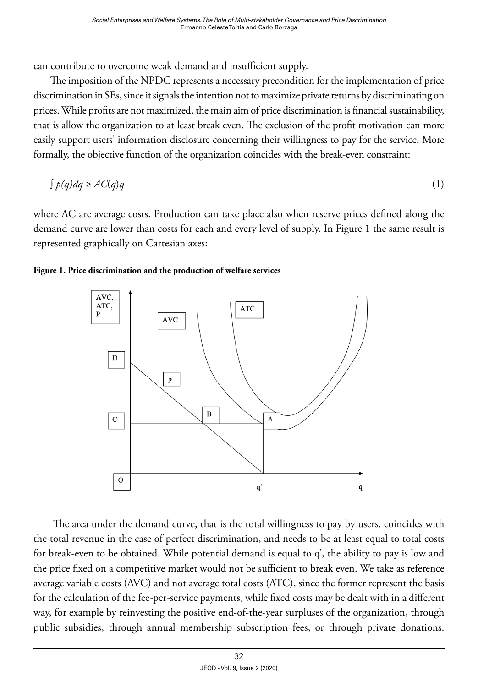can contribute to overcome weak demand and insufficient supply.

The imposition of the NPDC represents a necessary precondition for the implementation of price discrimination in SEs, since it signals the intention not to maximize private returns by discriminating on prices. While profits are not maximized, the main aim of price discrimination is financial sustainability, that is allow the organization to at least break even. The exclusion of the profit motivation can more easily support users' information disclosure concerning their willingness to pay for the service. More formally, the objective function of the organization coincides with the break-even constraint:

 $\int p(q) dq \ge AC(q)q$  (1)

where AC are average costs. Production can take place also when reserve prices defined along the demand curve are lower than costs for each and every level of supply. In Figure 1 the same result is represented graphically on Cartesian axes:





The area under the demand curve, that is the total willingness to pay by users, coincides with the total revenue in the case of perfect discrimination, and needs to be at least equal to total costs for break-even to be obtained. While potential demand is equal to q', the ability to pay is low and the price fixed on a competitive market would not be sufficient to break even. We take as reference average variable costs (AVC) and not average total costs (ATC), since the former represent the basis for the calculation of the fee-per-service payments, while fixed costs may be dealt with in a different way, for example by reinvesting the positive end-of-the-year surpluses of the organization, through public subsidies, through annual membership subscription fees, or through private donations.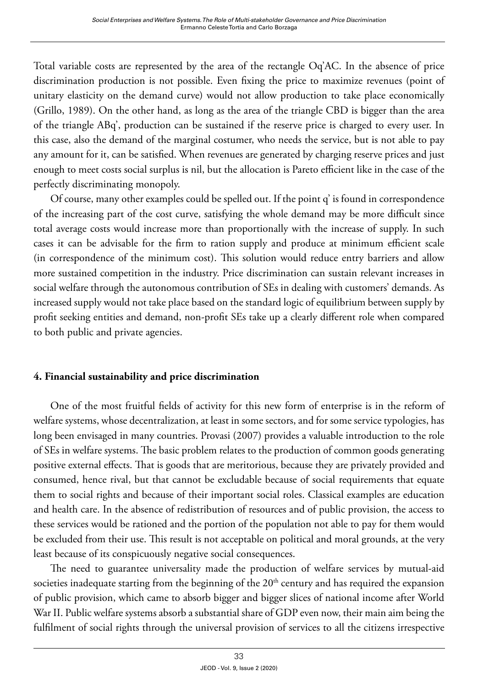Total variable costs are represented by the area of the rectangle Oq'AC. In the absence of price discrimination production is not possible. Even fixing the price to maximize revenues (point of unitary elasticity on the demand curve) would not allow production to take place economically (Grillo, 1989). On the other hand, as long as the area of the triangle CBD is bigger than the area of the triangle ABq', production can be sustained if the reserve price is charged to every user. In this case, also the demand of the marginal costumer, who needs the service, but is not able to pay any amount for it, can be satisfied. When revenues are generated by charging reserve prices and just enough to meet costs social surplus is nil, but the allocation is Pareto efficient like in the case of the perfectly discriminating monopoly.

Of course, many other examples could be spelled out. If the point q' is found in correspondence of the increasing part of the cost curve, satisfying the whole demand may be more difficult since total average costs would increase more than proportionally with the increase of supply. In such cases it can be advisable for the firm to ration supply and produce at minimum efficient scale (in correspondence of the minimum cost). This solution would reduce entry barriers and allow more sustained competition in the industry. Price discrimination can sustain relevant increases in social welfare through the autonomous contribution of SEs in dealing with customers' demands. As increased supply would not take place based on the standard logic of equilibrium between supply by profit seeking entities and demand, non-profit SEs take up a clearly different role when compared to both public and private agencies.

# **4. Financial sustainability and price discrimination**

One of the most fruitful fields of activity for this new form of enterprise is in the reform of welfare systems, whose decentralization, at least in some sectors, and for some service typologies, has long been envisaged in many countries. Provasi (2007) provides a valuable introduction to the role of SEs in welfare systems. The basic problem relates to the production of common goods generating positive external effects. That is goods that are meritorious, because they are privately provided and consumed, hence rival, but that cannot be excludable because of social requirements that equate them to social rights and because of their important social roles. Classical examples are education and health care. In the absence of redistribution of resources and of public provision, the access to these services would be rationed and the portion of the population not able to pay for them would be excluded from their use. This result is not acceptable on political and moral grounds, at the very least because of its conspicuously negative social consequences.

The need to guarantee universality made the production of welfare services by mutual-aid societies inadequate starting from the beginning of the 20<sup>th</sup> century and has required the expansion of public provision, which came to absorb bigger and bigger slices of national income after World War II. Public welfare systems absorb a substantial share of GDP even now, their main aim being the fulfilment of social rights through the universal provision of services to all the citizens irrespective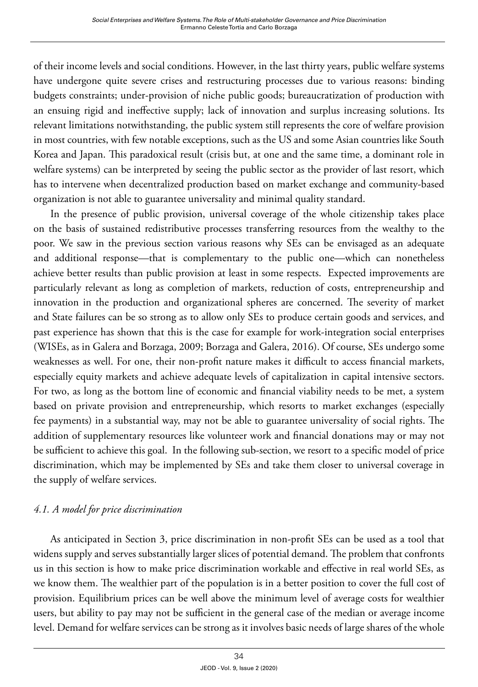of their income levels and social conditions. However, in the last thirty years, public welfare systems have undergone quite severe crises and restructuring processes due to various reasons: binding budgets constraints; under-provision of niche public goods; bureaucratization of production with an ensuing rigid and ineffective supply; lack of innovation and surplus increasing solutions. Its relevant limitations notwithstanding, the public system still represents the core of welfare provision in most countries, with few notable exceptions, such as the US and some Asian countries like South Korea and Japan. This paradoxical result (crisis but, at one and the same time, a dominant role in welfare systems) can be interpreted by seeing the public sector as the provider of last resort, which has to intervene when decentralized production based on market exchange and community-based organization is not able to guarantee universality and minimal quality standard.

In the presence of public provision, universal coverage of the whole citizenship takes place on the basis of sustained redistributive processes transferring resources from the wealthy to the poor. We saw in the previous section various reasons why SEs can be envisaged as an adequate and additional response—that is complementary to the public one—which can nonetheless achieve better results than public provision at least in some respects. Expected improvements are particularly relevant as long as completion of markets, reduction of costs, entrepreneurship and innovation in the production and organizational spheres are concerned. The severity of market and State failures can be so strong as to allow only SEs to produce certain goods and services, and past experience has shown that this is the case for example for work-integration social enterprises (WISEs, as in Galera and Borzaga, 2009; Borzaga and Galera, 2016). Of course, SEs undergo some weaknesses as well. For one, their non-profit nature makes it difficult to access financial markets, especially equity markets and achieve adequate levels of capitalization in capital intensive sectors. For two, as long as the bottom line of economic and financial viability needs to be met, a system based on private provision and entrepreneurship, which resorts to market exchanges (especially fee payments) in a substantial way, may not be able to guarantee universality of social rights. The addition of supplementary resources like volunteer work and financial donations may or may not be sufficient to achieve this goal. In the following sub-section, we resort to a specific model of price discrimination, which may be implemented by SEs and take them closer to universal coverage in the supply of welfare services.

# *4.1. A model for price discrimination*

As anticipated in Section 3, price discrimination in non-profit SEs can be used as a tool that widens supply and serves substantially larger slices of potential demand. The problem that confronts us in this section is how to make price discrimination workable and effective in real world SEs, as we know them. The wealthier part of the population is in a better position to cover the full cost of provision. Equilibrium prices can be well above the minimum level of average costs for wealthier users, but ability to pay may not be sufficient in the general case of the median or average income level. Demand for welfare services can be strong as it involves basic needs of large shares of the whole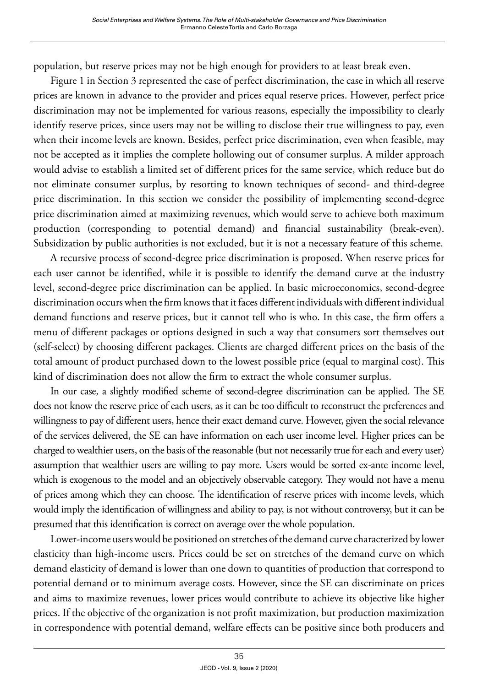population, but reserve prices may not be high enough for providers to at least break even.

Figure 1 in Section 3 represented the case of perfect discrimination, the case in which all reserve prices are known in advance to the provider and prices equal reserve prices. However, perfect price discrimination may not be implemented for various reasons, especially the impossibility to clearly identify reserve prices, since users may not be willing to disclose their true willingness to pay, even when their income levels are known. Besides, perfect price discrimination, even when feasible, may not be accepted as it implies the complete hollowing out of consumer surplus. A milder approach would advise to establish a limited set of different prices for the same service, which reduce but do not eliminate consumer surplus, by resorting to known techniques of second- and third-degree price discrimination. In this section we consider the possibility of implementing second-degree price discrimination aimed at maximizing revenues, which would serve to achieve both maximum production (corresponding to potential demand) and financial sustainability (break-even). Subsidization by public authorities is not excluded, but it is not a necessary feature of this scheme.

A recursive process of second-degree price discrimination is proposed. When reserve prices for each user cannot be identified, while it is possible to identify the demand curve at the industry level, second-degree price discrimination can be applied. In basic microeconomics, second-degree discrimination occurs when the firm knows that it faces different individuals with different individual demand functions and reserve prices, but it cannot tell who is who. In this case, the firm offers a menu of different packages or options designed in such a way that consumers sort themselves out (self-select) by choosing different packages. Clients are charged different prices on the basis of the total amount of product purchased down to the lowest possible price (equal to marginal cost). This kind of discrimination does not allow the firm to extract the whole consumer surplus.

In our case, a slightly modified scheme of second-degree discrimination can be applied. The SE does not know the reserve price of each users, as it can be too difficult to reconstruct the preferences and willingness to pay of different users, hence their exact demand curve. However, given the social relevance of the services delivered, the SE can have information on each user income level. Higher prices can be charged to wealthier users, on the basis of the reasonable (but not necessarily true for each and every user) assumption that wealthier users are willing to pay more. Users would be sorted ex-ante income level, which is exogenous to the model and an objectively observable category. They would not have a menu of prices among which they can choose. The identification of reserve prices with income levels, which would imply the identification of willingness and ability to pay, is not without controversy, but it can be presumed that this identification is correct on average over the whole population.

Lower-income users would be positioned on stretches of the demand curve characterized by lower elasticity than high-income users. Prices could be set on stretches of the demand curve on which demand elasticity of demand is lower than one down to quantities of production that correspond to potential demand or to minimum average costs. However, since the SE can discriminate on prices and aims to maximize revenues, lower prices would contribute to achieve its objective like higher prices. If the objective of the organization is not profit maximization, but production maximization in correspondence with potential demand, welfare effects can be positive since both producers and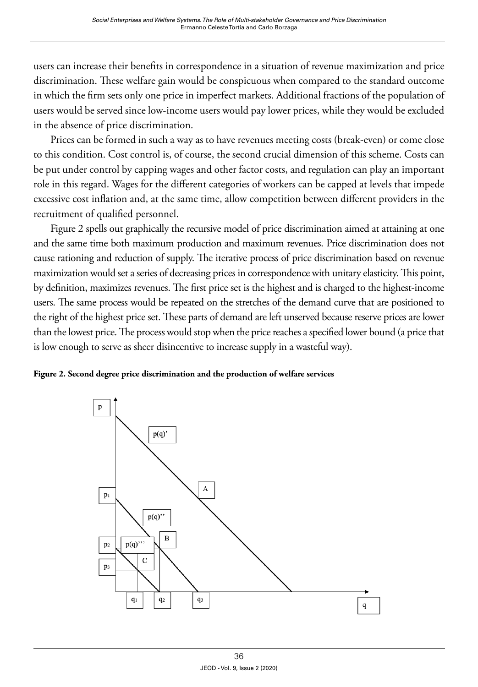users can increase their benefits in correspondence in a situation of revenue maximization and price discrimination. These welfare gain would be conspicuous when compared to the standard outcome in which the firm sets only one price in imperfect markets. Additional fractions of the population of users would be served since low-income users would pay lower prices, while they would be excluded in the absence of price discrimination.

Prices can be formed in such a way as to have revenues meeting costs (break-even) or come close to this condition. Cost control is, of course, the second crucial dimension of this scheme. Costs can be put under control by capping wages and other factor costs, and regulation can play an important role in this regard. Wages for the different categories of workers can be capped at levels that impede excessive cost inflation and, at the same time, allow competition between different providers in the recruitment of qualified personnel.

Figure 2 spells out graphically the recursive model of price discrimination aimed at attaining at one and the same time both maximum production and maximum revenues. Price discrimination does not cause rationing and reduction of supply. The iterative process of price discrimination based on revenue maximization would set a series of decreasing prices in correspondence with unitary elasticity. This point, by definition, maximizes revenues. The first price set is the highest and is charged to the highest-income users. The same process would be repeated on the stretches of the demand curve that are positioned to the right of the highest price set. These parts of demand are left unserved because reserve prices are lower than the lowest price. The process would stop when the price reaches a specified lower bound (a price that is low enough to serve as sheer disincentive to increase supply in a wasteful way).



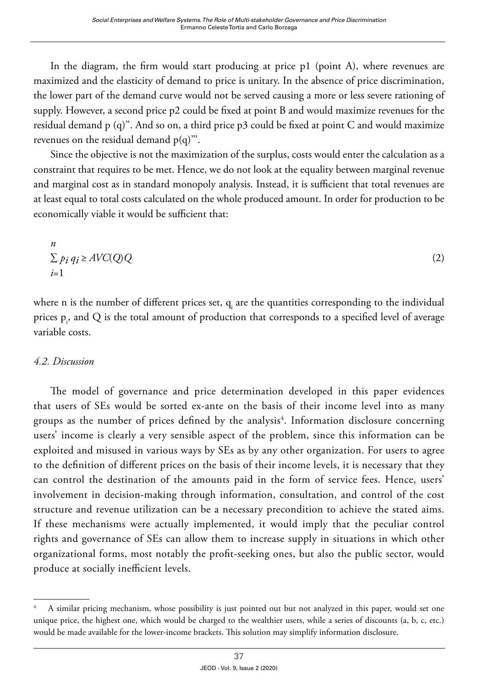In the diagram, the firm would start producing at price p1 (point A), where revenues are maximized and the elasticity of demand to price is unitary. In the absence of price discrimination, the lower part of the demand curve would not be served causing a more or less severe rationing of supply. However, a second price p2 could be fixed at point B and would maximize revenues for the residual demand  $p$  (q)". And so on, a third price  $p3$  could be fixed at point C and would maximize revenues on the residual demand  $p(q)$ ".

Since the objective is not the maximization of the surplus, costs would enter the calculation as a constraint that requires to be met. Hence, we do not look at the equality between marginal revenue and marginal cost as in standard monopoly analysis. Instead, it is sufficient that total revenues are at least equal to total costs calculated on the whole produced amount. In order for production to be economically viable it would be sufficient that:

$$
\sum_{i=1}^{n} p_i q_i \geq AVC(Q)Q \tag{2}
$$

where  ${\mathsf n}$  is the number of different prices set,  ${\mathsf q}_{\mathsf i}$  are the quantities corresponding to the individual prices  $p_i$ , and  $Q$  is the total amount of production that corresponds to a specified level of average variable costs.

#### *4.2. Discussion*

The model of governance and price determination developed in this paper evidences that users of SEs would be sorted ex-ante on the basis of their income level into as many groups as the number of prices defined by the analysis<sup>4</sup>. Information disclosure concerning users' income is clearly a very sensible aspect of the problem, since this information can be exploited and misused in various ways by SEs as by any other organization. For users to agree to the definition of different prices on the basis of their income levels, it is necessary that they can control the destination of the amounts paid in the form of service fees. Hence, users' involvement in decision-making through information, consultation, and control of the cost structure and revenue utilization can be a necessary precondition to achieve the stated aims. If these mechanisms were actually implemented, it would imply that the peculiar control rights and governance of SEs can allow them to increase supply in situations in which other organizational forms, most notably the profit-seeking ones, but also the public sector, would produce at socially inefficient levels.

<sup>4</sup> A similar pricing mechanism, whose possibility is just pointed out but not analyzed in this paper, would set one unique price, the highest one, which would be charged to the wealthier users, while a series of discounts (a, b, c, etc.) would be made available for the lower-income brackets. This solution may simplify information disclosure.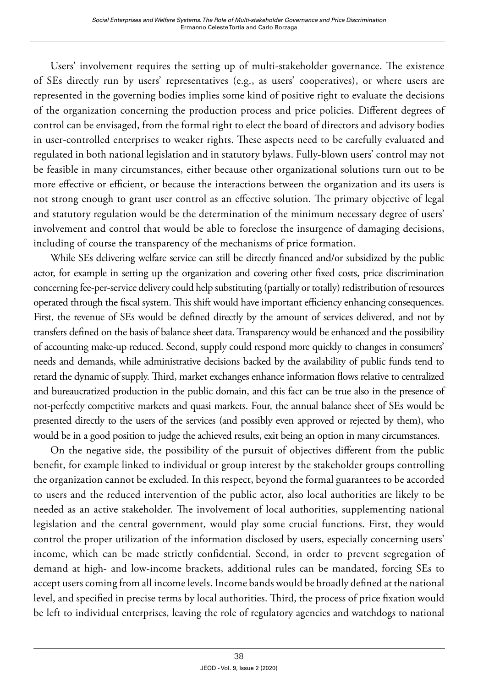Users' involvement requires the setting up of multi-stakeholder governance. The existence of SEs directly run by users' representatives (e.g., as users' cooperatives), or where users are represented in the governing bodies implies some kind of positive right to evaluate the decisions of the organization concerning the production process and price policies. Different degrees of control can be envisaged, from the formal right to elect the board of directors and advisory bodies in user-controlled enterprises to weaker rights. These aspects need to be carefully evaluated and regulated in both national legislation and in statutory bylaws. Fully-blown users' control may not be feasible in many circumstances, either because other organizational solutions turn out to be more effective or efficient, or because the interactions between the organization and its users is not strong enough to grant user control as an effective solution. The primary objective of legal and statutory regulation would be the determination of the minimum necessary degree of users' involvement and control that would be able to foreclose the insurgence of damaging decisions, including of course the transparency of the mechanisms of price formation.

While SEs delivering welfare service can still be directly financed and/or subsidized by the public actor, for example in setting up the organization and covering other fixed costs, price discrimination concerning fee-per-service delivery could help substituting (partially or totally) redistribution of resources operated through the fiscal system. This shift would have important efficiency enhancing consequences. First, the revenue of SEs would be defined directly by the amount of services delivered, and not by transfers defined on the basis of balance sheet data. Transparency would be enhanced and the possibility of accounting make-up reduced. Second, supply could respond more quickly to changes in consumers' needs and demands, while administrative decisions backed by the availability of public funds tend to retard the dynamic of supply. Third, market exchanges enhance information flows relative to centralized and bureaucratized production in the public domain, and this fact can be true also in the presence of not-perfectly competitive markets and quasi markets. Four, the annual balance sheet of SEs would be presented directly to the users of the services (and possibly even approved or rejected by them), who would be in a good position to judge the achieved results, exit being an option in many circumstances.

On the negative side, the possibility of the pursuit of objectives different from the public benefit, for example linked to individual or group interest by the stakeholder groups controlling the organization cannot be excluded. In this respect, beyond the formal guarantees to be accorded to users and the reduced intervention of the public actor, also local authorities are likely to be needed as an active stakeholder. The involvement of local authorities, supplementing national legislation and the central government, would play some crucial functions. First, they would control the proper utilization of the information disclosed by users, especially concerning users' income, which can be made strictly confidential. Second, in order to prevent segregation of demand at high- and low-income brackets, additional rules can be mandated, forcing SEs to accept users coming from all income levels. Income bands would be broadly defined at the national level, and specified in precise terms by local authorities. Third, the process of price fixation would be left to individual enterprises, leaving the role of regulatory agencies and watchdogs to national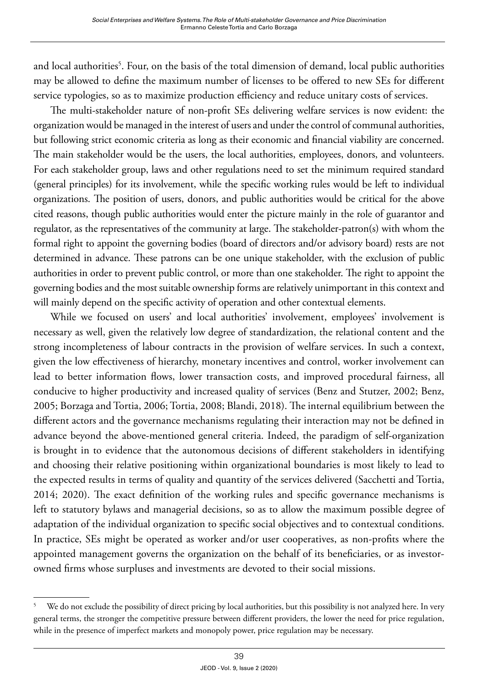and local authorities<sup>5</sup>. Four, on the basis of the total dimension of demand, local public authorities may be allowed to define the maximum number of licenses to be offered to new SEs for different service typologies, so as to maximize production efficiency and reduce unitary costs of services.

The multi-stakeholder nature of non-profit SEs delivering welfare services is now evident: the organization would be managed in the interest of users and under the control of communal authorities, but following strict economic criteria as long as their economic and financial viability are concerned. The main stakeholder would be the users, the local authorities, employees, donors, and volunteers. For each stakeholder group, laws and other regulations need to set the minimum required standard (general principles) for its involvement, while the specific working rules would be left to individual organizations. The position of users, donors, and public authorities would be critical for the above cited reasons, though public authorities would enter the picture mainly in the role of guarantor and regulator, as the representatives of the community at large. The stakeholder-patron(s) with whom the formal right to appoint the governing bodies (board of directors and/or advisory board) rests are not determined in advance. These patrons can be one unique stakeholder, with the exclusion of public authorities in order to prevent public control, or more than one stakeholder. The right to appoint the governing bodies and the most suitable ownership forms are relatively unimportant in this context and will mainly depend on the specific activity of operation and other contextual elements.

While we focused on users' and local authorities' involvement, employees' involvement is necessary as well, given the relatively low degree of standardization, the relational content and the strong incompleteness of labour contracts in the provision of welfare services. In such a context, given the low effectiveness of hierarchy, monetary incentives and control, worker involvement can lead to better information flows, lower transaction costs, and improved procedural fairness, all conducive to higher productivity and increased quality of services (Benz and Stutzer, 2002; Benz, 2005; Borzaga and Tortia, 2006; Tortia, 2008; Blandi, 2018). The internal equilibrium between the different actors and the governance mechanisms regulating their interaction may not be defined in advance beyond the above-mentioned general criteria. Indeed, the paradigm of self-organization is brought in to evidence that the autonomous decisions of different stakeholders in identifying and choosing their relative positioning within organizational boundaries is most likely to lead to the expected results in terms of quality and quantity of the services delivered (Sacchetti and Tortia, 2014; 2020). The exact definition of the working rules and specific governance mechanisms is left to statutory bylaws and managerial decisions, so as to allow the maximum possible degree of adaptation of the individual organization to specific social objectives and to contextual conditions. In practice, SEs might be operated as worker and/or user cooperatives, as non-profits where the appointed management governs the organization on the behalf of its beneficiaries, or as investorowned firms whose surpluses and investments are devoted to their social missions.

<sup>&</sup>lt;sup>5</sup> We do not exclude the possibility of direct pricing by local authorities, but this possibility is not analyzed here. In very general terms, the stronger the competitive pressure between different providers, the lower the need for price regulation, while in the presence of imperfect markets and monopoly power, price regulation may be necessary.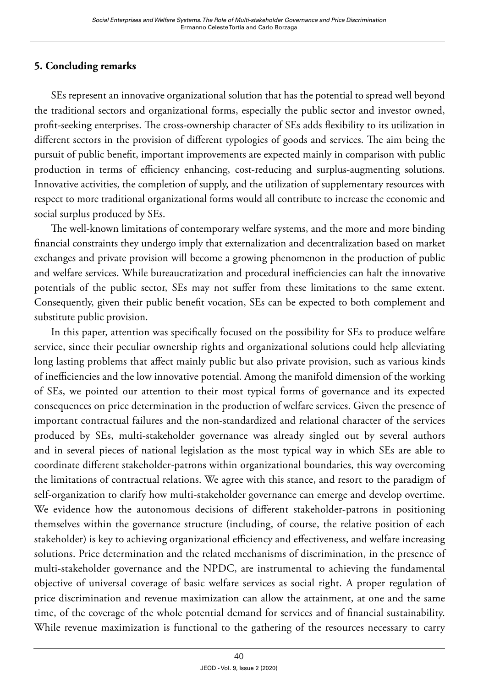# **5. Concluding remarks**

SEs represent an innovative organizational solution that has the potential to spread well beyond the traditional sectors and organizational forms, especially the public sector and investor owned, profit-seeking enterprises. The cross-ownership character of SEs adds flexibility to its utilization in different sectors in the provision of different typologies of goods and services. The aim being the pursuit of public benefit, important improvements are expected mainly in comparison with public production in terms of efficiency enhancing, cost-reducing and surplus-augmenting solutions. Innovative activities, the completion of supply, and the utilization of supplementary resources with respect to more traditional organizational forms would all contribute to increase the economic and social surplus produced by SEs.

The well-known limitations of contemporary welfare systems, and the more and more binding financial constraints they undergo imply that externalization and decentralization based on market exchanges and private provision will become a growing phenomenon in the production of public and welfare services. While bureaucratization and procedural inefficiencies can halt the innovative potentials of the public sector, SEs may not suffer from these limitations to the same extent. Consequently, given their public benefit vocation, SEs can be expected to both complement and substitute public provision.

In this paper, attention was specifically focused on the possibility for SEs to produce welfare service, since their peculiar ownership rights and organizational solutions could help alleviating long lasting problems that affect mainly public but also private provision, such as various kinds of inefficiencies and the low innovative potential. Among the manifold dimension of the working of SEs, we pointed our attention to their most typical forms of governance and its expected consequences on price determination in the production of welfare services. Given the presence of important contractual failures and the non-standardized and relational character of the services produced by SEs, multi-stakeholder governance was already singled out by several authors and in several pieces of national legislation as the most typical way in which SEs are able to coordinate different stakeholder-patrons within organizational boundaries, this way overcoming the limitations of contractual relations. We agree with this stance, and resort to the paradigm of self-organization to clarify how multi-stakeholder governance can emerge and develop overtime. We evidence how the autonomous decisions of different stakeholder-patrons in positioning themselves within the governance structure (including, of course, the relative position of each stakeholder) is key to achieving organizational efficiency and effectiveness, and welfare increasing solutions. Price determination and the related mechanisms of discrimination, in the presence of multi-stakeholder governance and the NPDC, are instrumental to achieving the fundamental objective of universal coverage of basic welfare services as social right. A proper regulation of price discrimination and revenue maximization can allow the attainment, at one and the same time, of the coverage of the whole potential demand for services and of financial sustainability. While revenue maximization is functional to the gathering of the resources necessary to carry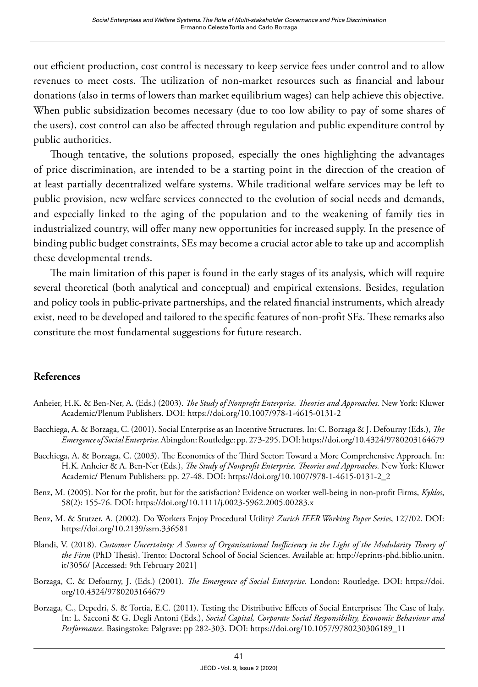out efficient production, cost control is necessary to keep service fees under control and to allow revenues to meet costs. The utilization of non-market resources such as financial and labour donations (also in terms of lowers than market equilibrium wages) can help achieve this objective. When public subsidization becomes necessary (due to too low ability to pay of some shares of the users), cost control can also be affected through regulation and public expenditure control by public authorities.

Though tentative, the solutions proposed, especially the ones highlighting the advantages of price discrimination, are intended to be a starting point in the direction of the creation of at least partially decentralized welfare systems. While traditional welfare services may be left to public provision, new welfare services connected to the evolution of social needs and demands, and especially linked to the aging of the population and to the weakening of family ties in industrialized country, will offer many new opportunities for increased supply. In the presence of binding public budget constraints, SEs may become a crucial actor able to take up and accomplish these developmental trends.

The main limitation of this paper is found in the early stages of its analysis, which will require several theoretical (both analytical and conceptual) and empirical extensions. Besides, regulation and policy tools in public-private partnerships, and the related financial instruments, which already exist, need to be developed and tailored to the specific features of non-profit SEs. These remarks also constitute the most fundamental suggestions for future research.

#### **References**

- Anheier, H.K. & Ben-Ner, A. (Eds.) (2003). *The Study of Nonprofit Enterprise. Theories and Approaches.* New York: Kluwer Academic/Plenum Publishers. DOI:<https://doi.org/10.1007/978-1-4615-0131-2>
- Bacchiega, A. & Borzaga, C. (2001). Social Enterprise as an Incentive Structures. In: C. Borzaga & J. Defourny (Eds.), *The Emergence of Social Enterprise.* Abingdon: Routledge: pp. 273-295. DOI:<https://doi.org/10.4324/9780203164679>
- Bacchiega, A. & Borzaga, C. (2003). The Economics of the Third Sector: Toward a More Comprehensive Approach. In: H.K. Anheier & A. Ben-Ner (Eds.), *The Study of Nonprofit Enterprise. Theories and Approaches.* New York: Kluwer Academic/ Plenum Publishers: pp. 27-48. DOI: [https://doi.org/10.1007/978-1-4615-0131-2\\_2](https://doi.org/10.1007/978-1-4615-0131-2_2)
- Benz, M. (2005). Not for the profit, but for the satisfaction? Evidence on worker well-being in non-profit Firms, *Kyklos*, 58(2): 155-76. DOI: <https://doi.org/10.1111/j.0023-5962.2005.00283.x>
- Benz, M. & Stutzer, A. (2002). Do Workers Enjoy Procedural Utility? *Zurich IEER Working Paper Series*, 127/02. DOI: <https://doi.org/10.2139/ssrn.336581>
- Blandi, V. (2018). *Customer Uncertainty: A Source of Organizational Inefficiency in the Light of the Modularity Theory of the Firm* (PhD Thesis). Trento: Doctoral School of Social Sciences. Available at: [http://eprints-phd.biblio.unitn.](http://eprints-phd.biblio.unitn.it/3056/) [it/3056/](http://eprints-phd.biblio.unitn.it/3056/) [Accessed: 9th February 2021]
- Borzaga, C. & Defourny, J. (Eds.) (2001). *The Emergence of Social Enterprise.* London: Routledge. DOI: [https://doi.](https://doi.org/10.4324/9780203164679) [org/10.4324/9780203164679](https://doi.org/10.4324/9780203164679)
- Borzaga, C., Depedri, S. & Tortia, E.C. (2011). Testing the Distributive Effects of Social Enterprises: The Case of Italy. In: L. Sacconi & G. Degli Antoni (Eds.), *Social Capital, Corporate Social Responsibility, Economic Behaviour and Performance.* Basingstoke: Palgrave: pp 282-303. DOI: [https://doi.org/10.1057/9780230306189\\_11](https://doi.org/10.1057/9780230306189_11)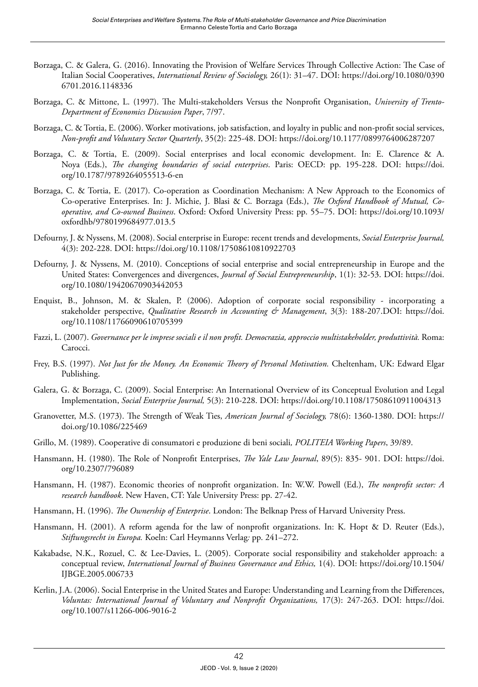- Borzaga, C. & Galera, G. (2016). Innovating the Provision of Welfare Services Through Collective Action: The Case of Italian Social Cooperatives, *International Review of Sociology,* 26(1): 31–47. DOI: [https://doi.org/10.1080/0390](https://doi.org/10.1080/03906701.2016.1148336) [6701.2016.1148336](https://doi.org/10.1080/03906701.2016.1148336)
- Borzaga, C. & Mittone, L. (1997). The Multi-stakeholders Versus the Nonprofit Organisation, *University of Trento-Department of Economics Discussion Paper*, 7/97.
- Borzaga, C. & Tortia, E. (2006). Worker motivations, job satisfaction, and loyalty in public and non-profit social services, *Non-profit and Voluntary Sector Quarterly*, 35(2): 225-48. DOI:<https://doi.org/10.1177/0899764006287207>
- Borzaga, C. & Tortia, E. (2009). Social enterprises and local economic development. In: E. Clarence & A. Noya (Eds.), *The changing boundaries of social enterprises*. Paris: OECD: pp. 195-228. DOI: [https://doi.](https://doi.org/10.1787/9789264055513-6-en) [org/10.1787/9789264055513-6-en](https://doi.org/10.1787/9789264055513-6-en)
- Borzaga, C. & Tortia, E. (2017). Co-operation as Coordination Mechanism: A New Approach to the Economics of Co-operative Enterprises. In: J. Michie, J. Blasi & C. Borzaga (Eds.), *The Oxford Handbook of Mutual, Cooperative, and Co-owned Business*. Oxford: Oxford University Press: pp. 55–75. DOI: [https://doi.org/10.1093/](https://doi.org/10.1093/oxfordhb/9780199684977.013.5) [oxfordhb/9780199684977.013.5](https://doi.org/10.1093/oxfordhb/9780199684977.013.5)
- Defourny, J. & Nyssens, M. (2008). Social enterprise in Europe: recent trends and developments, *Social Enterprise Journal,* 4(3): 202-228. DOI: <https://doi.org/10.1108/17508610810922703>
- Defourny, J. & Nyssens, M. (2010). Conceptions of social enterprise and social entrepreneurship in Europe and the United States: Convergences and divergences, *Journal of Social Entrepreneurship*, 1(1): 32-53. DOI: [https://doi.](https://doi.org/10.1080/19420670903442053) [org/10.1080/19420670903442053](https://doi.org/10.1080/19420670903442053)
- Enquist, B., Johnson, M. & Skalen, P. (2006). Adoption of corporate social responsibility incorporating a stakeholder perspective, *Qualitative Research in Accounting & Management*, 3(3): 188-207.DOI: [https://doi.](https://doi.org/10.1108/11766090610705399) [org/10.1108/11766090610705399](https://doi.org/10.1108/11766090610705399)
- Fazzi, L. (2007). *Governance per le imprese sociali e il non profit. Democrazia, approccio multistakeholder, produttività.* Roma: Carocci.
- Frey, B.S. (1997). *Not Just for the Money. An Economic Theory of Personal Motivation.* Cheltenham, UK: Edward Elgar Publishing.
- Galera, G. & Borzaga, C. (2009). Social Enterprise: An International Overview of its Conceptual Evolution and Legal Implementation, *Social Enterprise Journal,* 5(3): 210-228. DOI:<https://doi.org/10.1108/17508610911004313>
- Granovetter, M.S. (1973). The Strength of Weak Ties, *American Journal of Sociology,* 78(6): 1360-1380. DOI: [https://](https://doi.org/10.1086/225469) [doi.org/10.1086/225469](https://doi.org/10.1086/225469)
- Grillo, M. (1989). Cooperative di consumatori e produzione di beni sociali*, POLITEIA Working Papers*, 39/89.
- Hansmann, H. (1980). The Role of Nonprofit Enterprises, *The Yale Law Journal*, 89(5): 835- 901. DOI: [https://doi.](https://doi.org/10.2307/796089) [org/10.2307/796089](https://doi.org/10.2307/796089)
- Hansmann, H. (1987). Economic theories of nonprofit organization. In: W.W. Powell (Ed.), *The nonprofit sector: A research handbook*. New Haven, CT: Yale University Press: pp. 27-42.
- Hansmann, H. (1996). *The Ownership of Enterprise*. London: The Belknap Press of Harvard University Press.
- Hansmann, H. (2001). A reform agenda for the law of nonprofit organizations. In: K. Hopt & D. Reuter (Eds.), *Stiftungsrecht in Europa.* Koeln: Carl Heymanns Verlag*:* pp. 241–272.
- Kakabadse, N.K., Rozuel, C. & Lee-Davies, L. (2005). Corporate social responsibility and stakeholder approach: a conceptual review, *International Journal of Business Governance and Ethics,* 1(4). DOI: [https://doi.org/10.1504/](https://doi.org/10.1504/IJBGE.2005.006733) [IJBGE.2005.006733](https://doi.org/10.1504/IJBGE.2005.006733)
- Kerlin, J.A. (2006). Social Enterprise in the United States and Europe: Understanding and Learning from the Differences, *Voluntas: International Journal of Voluntary and Nonprofit Organizations,* 17(3): 247-263. DOI: [https://doi.](https://doi.org/10.1007/s11266-006-9016-2) [org/10.1007/s11266-006-9016-2](https://doi.org/10.1007/s11266-006-9016-2)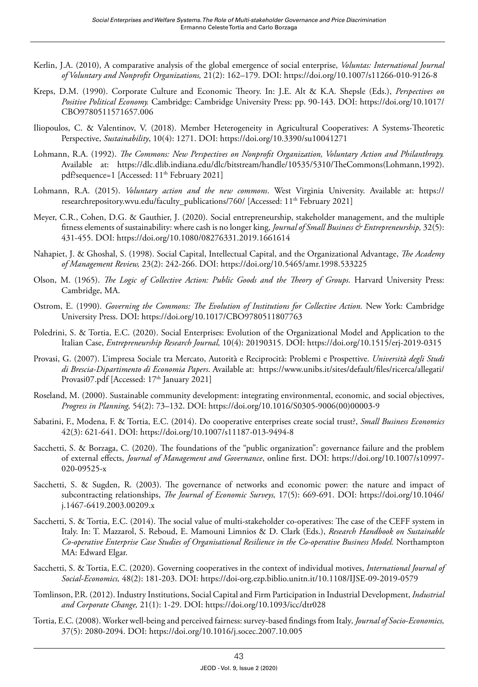- Kerlin, J.A. (2010), A comparative analysis of the global emergence of social enterprise, *Voluntas: International Journal of Voluntary and Nonprofit Organizations,* 21(2): 162–179. DOI: <https://doi.org/10.1007/s11266-010-9126-8>
- Kreps, D.M. (1990). Corporate Culture and Economic Theory. In: J.E. Alt & K.A. Shepsle (Eds.), *Perspectives on Positive Political Economy.* Cambridge: Cambridge University Press: pp. 90-143. DOI: [https://doi.org/10.1017/](https://doi.org/10.1017/CBO9780511571657.006) [CBO9780511571657.006](https://doi.org/10.1017/CBO9780511571657.006)
- Iliopoulos, C. & Valentinov, V. (2018). Member Heterogeneity in Agricultural Cooperatives: A Systems-Theoretic Perspective, *Sustainability*, 10(4): 1271. DOI:<https://doi.org/10.3390/su10041271>
- Lohmann, R.A. (1992). *The Commons: New Perspectives on Nonprofit Organization, Voluntary Action and Philanthropy.*  Available at: [https://dlc.dlib.indiana.edu/dlc/bitstream/handle/10535/5310/TheCommons\(Lohmann,1992\).](https://dlc.dlib.indiana.edu/dlc/bitstream/handle/10535/5310/TheCommons(Lohmann,1992).pdf?sequence=1) [pdf?sequence=1](https://dlc.dlib.indiana.edu/dlc/bitstream/handle/10535/5310/TheCommons(Lohmann,1992).pdf?sequence=1) [Accessed: 11<sup>th</sup> February 2021]
- Lohmann, R.A. (2015). *Voluntary action and the new commons*. West Virginia University. Available at: [https://](https://researchrepository.wvu.edu/faculty_publications/760/) [researchrepository.wvu.edu/faculty\\_publications/760/](https://researchrepository.wvu.edu/faculty_publications/760/) [Accessed: 11<sup>th</sup> February 2021]
- Meyer, C.R., Cohen, D.G. & Gauthier, J. (2020). Social entrepreneurship, stakeholder management, and the multiple fitness elements of sustainability: where cash is no longer king, *Journal of Small Business & Entrepreneurship,* 32(5): 431-455. DOI:<https://doi.org/10.1080/08276331.2019.1661614>
- Nahapiet, J. & Ghoshal, S. (1998). Social Capital, Intellectual Capital, and the Organizational Advantage, *The Academy of Management Review,* 23(2): 242-266. DOI: <https://doi.org/10.5465/amr.1998.533225>
- Olson, M. (1965). *The Logic of Collective Action: Public Goods and the Theory of Groups*. Harvard University Press: Cambridge, MA.
- Ostrom, E. (1990). *Governing the Commons: The Evolution of Institutions for Collective Action.* New York: Cambridge University Press. DOI: <https://doi.org/10.1017/CBO9780511807763>
- Poledrini, S. & Tortia, E.C. (2020). Social Enterprises: Evolution of the Organizational Model and Application to the Italian Case, *Entrepreneurship Research Journal,* 10(4): 20190315. DOI: <https://doi.org/10.1515/erj-2019-0315>
- Provasi, G. (2007). L'impresa Sociale tra Mercato, Autorità e Reciprocità: Problemi e Prospettive. *Università degli Studi di Brescia-Dipartimento di Economia Papers*. Available at: [https://www.unibs.it/sites/default/files/ricerca/allegati/](https://www.unibs.it/sites/default/files/ricerca/allegati/Provasi07.pdf) [Provasi07.pdf](https://www.unibs.it/sites/default/files/ricerca/allegati/Provasi07.pdf) [Accessed: 17<sup>th</sup> January 2021]
- Roseland, M. (2000). Sustainable community development: integrating environmental, economic, and social objectives, *Progress in Planning,* 54(2): 73–132. DOI: [https://doi.org/10.1016/S0305-9006\(00\)00003-9](https://doi.org/10.1016/S0305-9006(00)00003-9)
- Sabatini, F., Modena, F. & Tortia, E.C. (2014). Do cooperative enterprises create social trust?, *Small Business Economics* 42(3): 621-641. DOI:<https://doi.org/10.1007/s11187-013-9494-8>
- Sacchetti, S. & Borzaga, C. (2020). The foundations of the "public organization": governance failure and the problem of external effects, *Journal of Management and Governance*, online first. DOI: [https://doi.org/10.1007/s10997-](https://doi.org/10.1007/s10997-020-09525-x) [020-09525-x](https://doi.org/10.1007/s10997-020-09525-x)
- Sacchetti, S. & Sugden, R. (2003). The governance of networks and economic power: the nature and impact of subcontracting relationships, *The Journal of Economic Surveys,* 17(5): 669-691. DOI: [https://doi.org/10.1046/](https://doi.org/10.1046/j.1467-6419.2003.00209.x) [j.1467-6419.2003.00209.x](https://doi.org/10.1046/j.1467-6419.2003.00209.x)
- Sacchetti, S. & Tortia, E.C. (2014). The social value of multi-stakeholder co-operatives: The case of the CEFF system in Italy. In: T. Mazzarol, S. Reboud, E. Mamouni Limnios & D. Clark (Eds.), *Research Handbook on Sustainable Co-operative Enterprise Case Studies of Organisational Resilience in the Co-operative Business Model.* Northampton MA: Edward Elgar.
- Sacchetti, S. & Tortia, E.C. (2020). Governing cooperatives in the context of individual motives, *International Journal of Social-Economics,* 48(2): 181-203. DOI: <https://doi-org.ezp.biblio.unitn.it/10.1108/IJSE-09-2019-0579>
- Tomlinson, P.R. (2012). Industry Institutions, Social Capital and Firm Participation in Industrial Development, *Industrial and Corporate Change,* 21(1): 1-29. DOI:<https://doi.org/10.1093/icc/dtr028>
- Tortia, E.C. (2008). Worker well-being and perceived fairness: survey-based findings from Italy*, Journal of Socio-Economics,* 37(5): 2080-2094. DOI:<https://doi.org/10.1016/j.socec.2007.10.005>